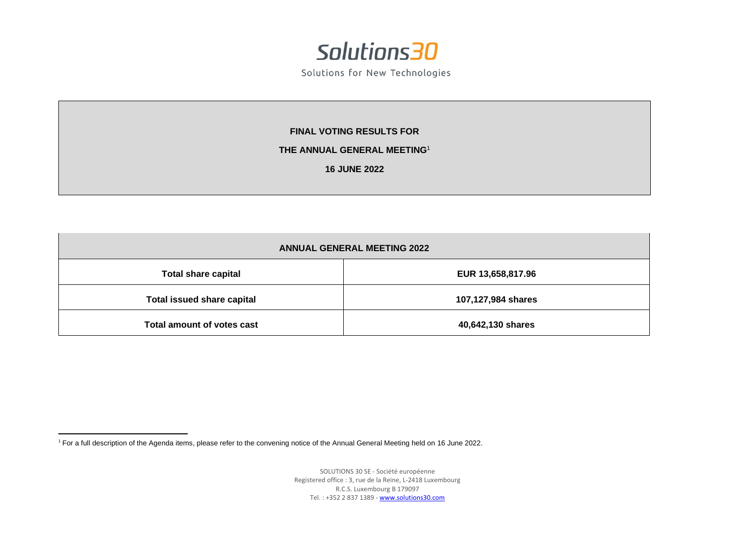

Solutions for New Technologies

**FINAL VOTING RESULTS FOR**

## **THE ANNUAL GENERAL MEETING**<sup>1</sup>

**16 JUNE 2022**

| <b>ANNUAL GENERAL MEETING 2022</b> |                    |  |  |  |  |  |  |
|------------------------------------|--------------------|--|--|--|--|--|--|
| <b>Total share capital</b>         | EUR 13,658,817.96  |  |  |  |  |  |  |
| <b>Total issued share capital</b>  | 107,127,984 shares |  |  |  |  |  |  |
| Total amount of votes cast         | 40,642,130 shares  |  |  |  |  |  |  |

<sup>1</sup> For a full description of the Agenda items, please refer to the convening notice of the Annual General Meeting held on 16 June 2022.